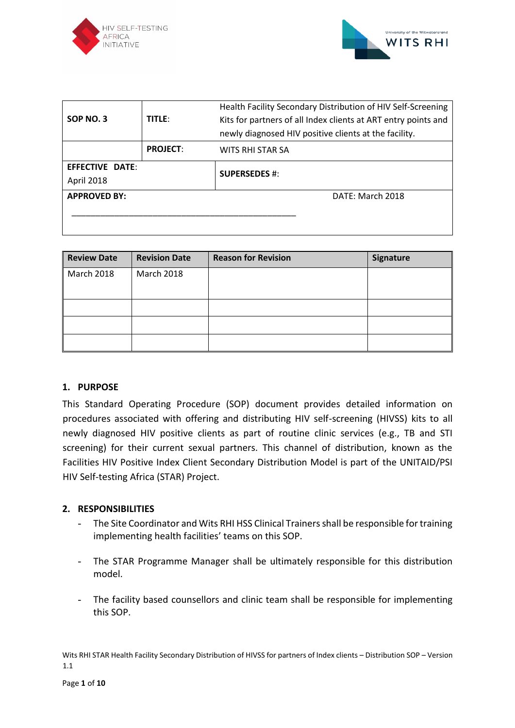



|                     |                 | Health Facility Secondary Distribution of HIV Self-Screening   |  |  |  |
|---------------------|-----------------|----------------------------------------------------------------|--|--|--|
| SOP NO. 3           | <b>TITLE:</b>   | Kits for partners of all Index clients at ART entry points and |  |  |  |
|                     |                 | newly diagnosed HIV positive clients at the facility.          |  |  |  |
|                     | <b>PROJECT:</b> | WITS RHI STAR SA                                               |  |  |  |
| EFFECTIVE DATE:     |                 | <b>SUPERSEDES #:</b>                                           |  |  |  |
| <b>April 2018</b>   |                 |                                                                |  |  |  |
| <b>APPROVED BY:</b> |                 | DATE: March 2018                                               |  |  |  |
|                     |                 |                                                                |  |  |  |
|                     |                 |                                                                |  |  |  |

| <b>Review Date</b> | <b>Revision Date</b> | <b>Reason for Revision</b> | Signature |
|--------------------|----------------------|----------------------------|-----------|
| <b>March 2018</b>  | March 2018           |                            |           |
|                    |                      |                            |           |
|                    |                      |                            |           |
|                    |                      |                            |           |
|                    |                      |                            |           |

## **1. PURPOSE**

This Standard Operating Procedure (SOP) document provides detailed information on procedures associated with offering and distributing HIV self-screening (HIVSS) kits to all newly diagnosed HIV positive clients as part of routine clinic services (e.g., TB and STI screening) for their current sexual partners. This channel of distribution, known as the Facilities HIV Positive Index Client Secondary Distribution Model is part of the UNITAID/PSI HIV Self-testing Africa (STAR) Project.

## **2. RESPONSIBILITIES**

- The Site Coordinator and Wits RHI HSS Clinical Trainers shall be responsible for training implementing health facilities' teams on this SOP.
- The STAR Programme Manager shall be ultimately responsible for this distribution model.
- The facility based counsellors and clinic team shall be responsible for implementing this SOP.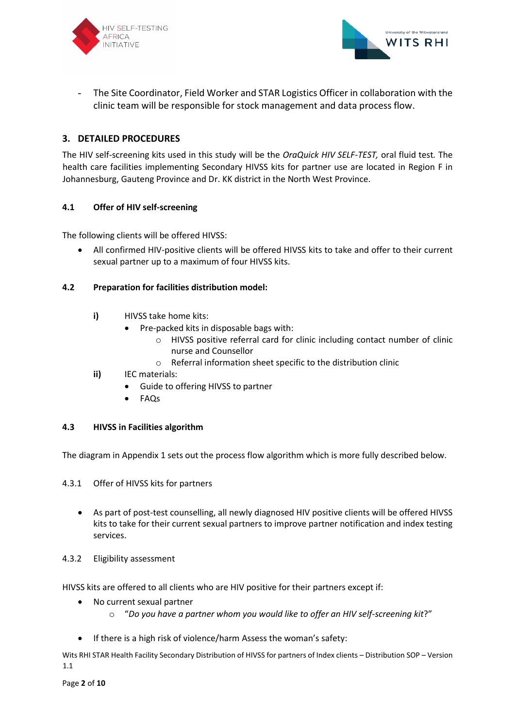



- The Site Coordinator, Field Worker and STAR Logistics Officer in collaboration with the clinic team will be responsible for stock management and data process flow.

## **3. DETAILED PROCEDURES**

The HIV self-screening kits used in this study will be the *OraQuick HIV SELF-TEST,* oral fluid test*.* The health care facilities implementing Secondary HIVSS kits for partner use are located in Region F in Johannesburg, Gauteng Province and Dr. KK district in the North West Province.

## **4.1 Offer of HIV self-screening**

The following clients will be offered HIVSS:

• All confirmed HIV-positive clients will be offered HIVSS kits to take and offer to their current sexual partner up to a maximum of four HIVSS kits.

## **4.2 Preparation for facilities distribution model:**

- **i)** HIVSS take home kits:
	- Pre-packed kits in disposable bags with:
		- o HIVSS positive referral card for clinic including contact number of clinic nurse and Counsellor
		- o Referral information sheet specific to the distribution clinic
- **ii)** IEC materials:
	- Guide to offering HIVSS to partner
	- FAQs

#### **4.3 HIVSS in Facilities algorithm**

The diagram in Appendix 1 sets out the process flow algorithm which is more fully described below.

4.3.1 Offer of HIVSS kits for partners

• As part of post-test counselling, all newly diagnosed HIV positive clients will be offered HIVSS kits to take for their current sexual partners to improve partner notification and index testing services.

#### 4.3.2 Eligibility assessment

HIVSS kits are offered to all clients who are HIV positive for their partners except if:

- No current sexual partner
	- o "*Do you have a partner whom you would like to offer an HIV self-screening kit*?"
- If there is a high risk of violence/harm Assess the woman's safety: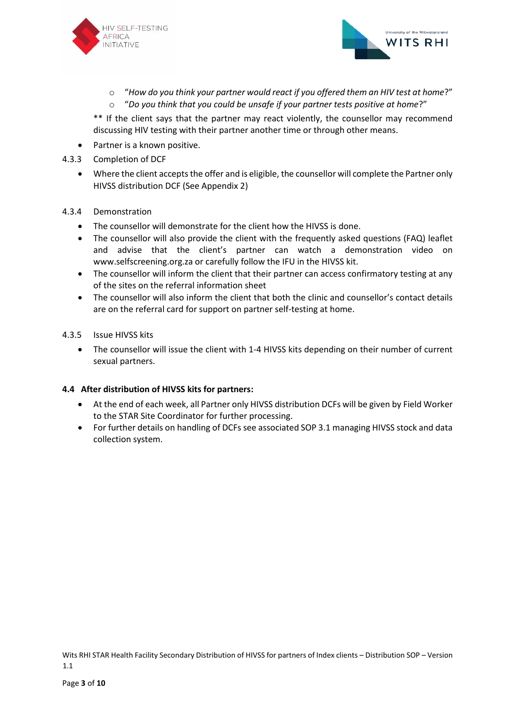



- o "*How do you think your partner would react if you offered them an HIV test at home*?"
- o "*Do you think that you could be unsafe if your partner tests positive at home*?"

\*\* If the client says that the partner may react violently, the counsellor may recommend discussing HIV testing with their partner another time or through other means.

- Partner is a known positive.
- 4.3.3 Completion of DCF
	- Where the client accepts the offer and is eligible, the counsellor will complete the Partner only HIVSS distribution DCF (See Appendix 2)

## 4.3.4 Demonstration

- The counsellor will demonstrate for the client how the HIVSS is done.
- The counsellor will also provide the client with the frequently asked questions (FAQ) leaflet and advise that the client's partner can watch a demonstration video on www.selfscreening.org.za or carefully follow the IFU in the HIVSS kit.
- The counsellor will inform the client that their partner can access confirmatory testing at any of the sites on the referral information sheet
- The counsellor will also inform the client that both the clinic and counsellor's contact details are on the referral card for support on partner self-testing at home.

## 4.3.5 Issue HIVSS kits

• The counsellor will issue the client with 1-4 HIVSS kits depending on their number of current sexual partners.

## **4.4 After distribution of HIVSS kits for partners:**

- At the end of each week, all Partner only HIVSS distribution DCFs will be given by Field Worker to the STAR Site Coordinator for further processing.
- For further details on handling of DCFs see associated SOP 3.1 managing HIVSS stock and data collection system.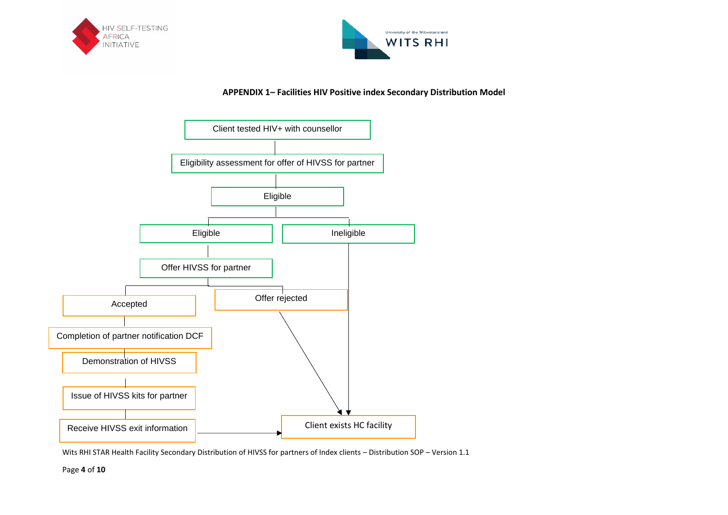



## **APPENDIX 1– Facilities HIV Positive index Secondary Distribution Model**



Wits RHI STAR Health Facility Secondary Distribution of HIVSS for partners of Index clients – Distribution SOP – Version 1.1

Page **4** of **10**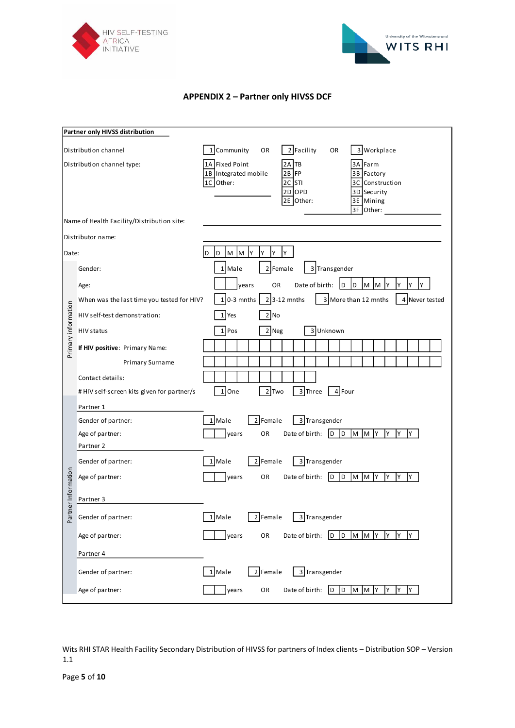



## **APPENDIX 2 – Partner only HIVSS DCF**

|                            | Partner only HIVSS distribution            |                                                                                                                                                                                                   |
|----------------------------|--------------------------------------------|---------------------------------------------------------------------------------------------------------------------------------------------------------------------------------------------------|
| Distribution channel       |                                            | 2 Facility<br>3 Workplace<br>1 Community<br>OR<br>OR                                                                                                                                              |
| Distribution channel type: |                                            | 1A Fixed Point<br>TB<br>3A Farm<br>2Α<br>2B FP<br>1B Integrated mobile<br>Factory<br>3B<br>1C Other:<br>2C STI<br>3C Construction<br>2D OPD<br>3D Security<br>2E Other:<br>3E Mining<br>3F Other: |
|                            | Name of Health Facility/Distribution site: |                                                                                                                                                                                                   |
|                            | Distributor name:                          |                                                                                                                                                                                                   |
| Date:                      |                                            | Y<br>Υ<br>Y<br>D<br>M<br>M<br>Y<br>D                                                                                                                                                              |
|                            | Gender:                                    | 2 Female<br>1 Male<br>3 Transgender                                                                                                                                                               |
|                            | Age:                                       | M M Y<br>OR<br>Date of birth:<br> D <br>I٢<br>years<br>Y<br>Y<br>D                                                                                                                                |
|                            | When was the last time you tested for HIV? | $1 0-3$ mnths<br>$2$ 3-12 mnths<br>3 More than 12 mnths<br>4 Never tested                                                                                                                         |
| Primary information        | HIV self-test demonstration:               | 2 No<br>1 Yes                                                                                                                                                                                     |
|                            | HIV status                                 | 2 Neg<br>3 Unknown<br>1 Pos                                                                                                                                                                       |
|                            | If HIV positive: Primary Name:             |                                                                                                                                                                                                   |
|                            | Primary Surname                            |                                                                                                                                                                                                   |
|                            | Contact details:                           |                                                                                                                                                                                                   |
|                            | # HIV self-screen kits given for partner/s | $1$ One<br>2 Two<br>3 Three<br>4 Four                                                                                                                                                             |
|                            | Partner 1                                  |                                                                                                                                                                                                   |
|                            | Gender of partner:                         | 1 Male<br>$2$ Female<br>3 Transgender                                                                                                                                                             |
|                            | Age of partner:                            | OR<br>Date of birth:<br> D <br><b>D</b><br>M<br>M<br>IY<br>Y<br>I٢<br>Y<br>years                                                                                                                  |
|                            | Partner 2                                  |                                                                                                                                                                                                   |
|                            | Gender of partner:                         | 2 Female<br>3 Transgender<br>1 Male                                                                                                                                                               |
|                            | Age of partner:                            | M M Y<br>Date of birth:<br><b>D</b><br>OR<br>ID.<br>Y<br>years<br>I٢                                                                                                                              |
| Partner Information        | Partner 3                                  |                                                                                                                                                                                                   |
|                            | Gender of partner:                         | 2 Female<br>3 Transgender<br>1 Male                                                                                                                                                               |
|                            | Age of partner:                            | years<br>$D$ $D$<br>M M Y<br>OR<br>Date of birth:<br>Y<br>Y<br>Y                                                                                                                                  |
|                            | Partner 4                                  |                                                                                                                                                                                                   |
|                            | Gender of partner:                         | 1 Male<br>2 Female<br>3 Transgender                                                                                                                                                               |
|                            | Age of partner:                            | years<br>Date of birth:<br>D<br>$\overline{D}$<br>M M Y<br>Y<br>Y<br>Y<br>OR                                                                                                                      |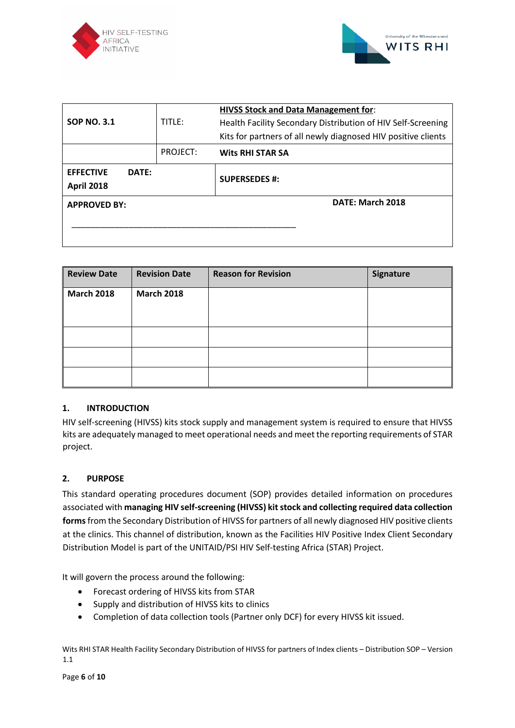



| <b>SOP NO. 3.1</b>                             | TITLE:   | <b>HIVSS Stock and Data Management for:</b><br>Health Facility Secondary Distribution of HIV Self-Screening<br>Kits for partners of all newly diagnosed HIV positive clients |  |  |
|------------------------------------------------|----------|------------------------------------------------------------------------------------------------------------------------------------------------------------------------------|--|--|
|                                                | PROJECT: | <b>Wits RHI STAR SA</b>                                                                                                                                                      |  |  |
| <b>EFFECTIVE</b><br>DATE:<br><b>April 2018</b> |          | <b>SUPERSEDES #:</b>                                                                                                                                                         |  |  |
| <b>APPROVED BY:</b>                            |          | DATE: March 2018                                                                                                                                                             |  |  |

| <b>Review Date</b> | <b>Revision Date</b> | <b>Reason for Revision</b> | Signature |
|--------------------|----------------------|----------------------------|-----------|
| <b>March 2018</b>  | <b>March 2018</b>    |                            |           |
|                    |                      |                            |           |
|                    |                      |                            |           |
|                    |                      |                            |           |
|                    |                      |                            |           |

## **1. INTRODUCTION**

HIV self-screening (HIVSS) kits stock supply and management system is required to ensure that HIVSS kits are adequately managed to meet operational needs and meet the reporting requirements of STAR project.

#### **2. PURPOSE**

This standard operating procedures document (SOP) provides detailed information on procedures associated with **managing HIV self-screening (HIVSS) kit stock and collecting required data collection forms**from the Secondary Distribution of HIVSS for partners of all newly diagnosed HIV positive clients at the clinics. This channel of distribution, known as the Facilities HIV Positive Index Client Secondary Distribution Model is part of the UNITAID/PSI HIV Self-testing Africa (STAR) Project.

It will govern the process around the following:

- Forecast ordering of HIVSS kits from STAR
- Supply and distribution of HIVSS kits to clinics
- Completion of data collection tools (Partner only DCF) for every HIVSS kit issued.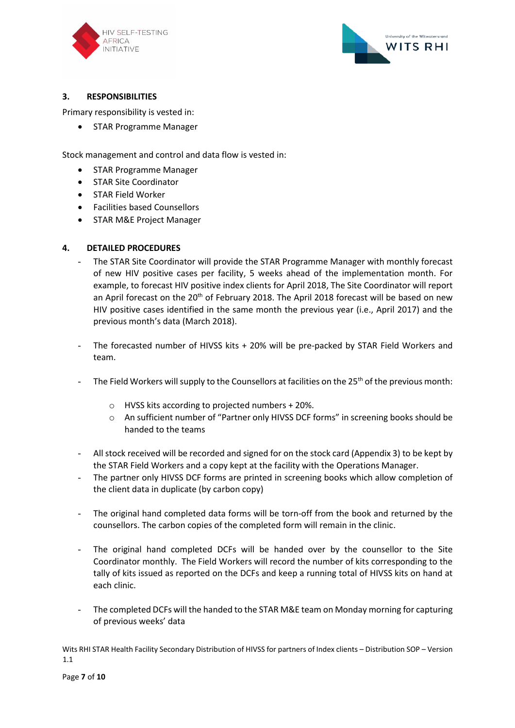



## **3. RESPONSIBILITIES**

Primary responsibility is vested in:

• STAR Programme Manager

Stock management and control and data flow is vested in:

- STAR Programme Manager
- STAR Site Coordinator
- STAR Field Worker
- Facilities based Counsellors
- STAR M&E Project Manager

## **4. DETAILED PROCEDURES**

- The STAR Site Coordinator will provide the STAR Programme Manager with monthly forecast of new HIV positive cases per facility, 5 weeks ahead of the implementation month. For example, to forecast HIV positive index clients for April 2018, The Site Coordinator will report an April forecast on the 20<sup>th</sup> of February 2018. The April 2018 forecast will be based on new HIV positive cases identified in the same month the previous year (i.e., April 2017) and the previous month's data (March 2018).
- The forecasted number of HIVSS kits + 20% will be pre-packed by STAR Field Workers and team.
- The Field Workers will supply to the Counsellors at facilities on the 25<sup>th</sup> of the previous month:
	- o HVSS kits according to projected numbers + 20%.
	- o An sufficient number of "Partner only HIVSS DCF forms" in screening books should be handed to the teams
- All stock received will be recorded and signed for on the stock card (Appendix 3) to be kept by the STAR Field Workers and a copy kept at the facility with the Operations Manager.
- The partner only HIVSS DCF forms are printed in screening books which allow completion of the client data in duplicate (by carbon copy)
- The original hand completed data forms will be torn-off from the book and returned by the counsellors. The carbon copies of the completed form will remain in the clinic.
- The original hand completed DCFs will be handed over by the counsellor to the Site Coordinator monthly. The Field Workers will record the number of kits corresponding to the tally of kits issued as reported on the DCFs and keep a running total of HIVSS kits on hand at each clinic.
- The completed DCFs will the handed to the STAR M&E team on Monday morning for capturing of previous weeks' data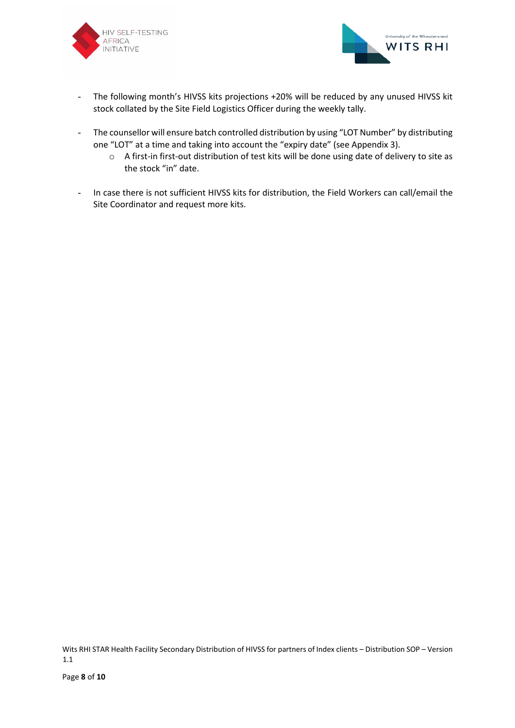



- The following month's HIVSS kits projections +20% will be reduced by any unused HIVSS kit stock collated by the Site Field Logistics Officer during the weekly tally.
- The counsellor will ensure batch controlled distribution by using "LOT Number" by distributing one "LOT" at a time and taking into account the "expiry date" (see Appendix 3).
	- o A first-in first-out distribution of test kits will be done using date of delivery to site as the stock "in" date.
- In case there is not sufficient HIVSS kits for distribution, the Field Workers can call/email the Site Coordinator and request more kits.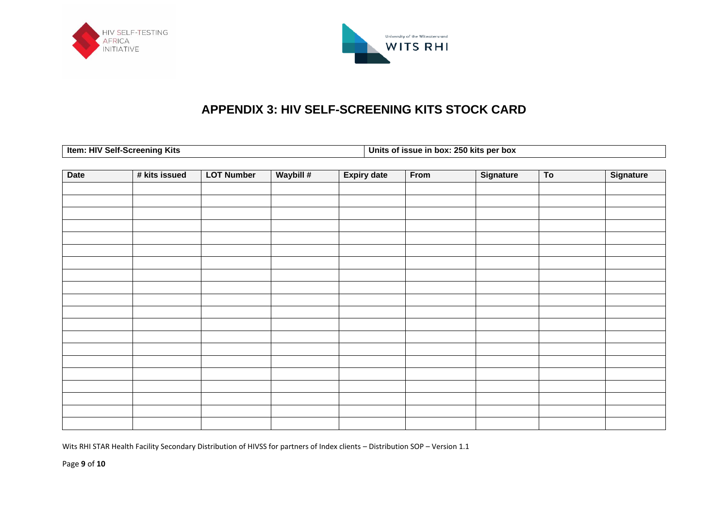



# **APPENDIX 3: HIV SELF-SCREENING KITS STOCK CARD**

|  | Item: HIV Self-Screening Kits |  |  |
|--|-------------------------------|--|--|
|--|-------------------------------|--|--|

**Ithis of issue in box: 250 kits per box** 

| <b>Date</b> | # kits issued | <b>LOT Number</b> | Waybill # | <b>Expiry date</b> | From | Signature | $\overline{10}$ | Signature |
|-------------|---------------|-------------------|-----------|--------------------|------|-----------|-----------------|-----------|
|             |               |                   |           |                    |      |           |                 |           |
|             |               |                   |           |                    |      |           |                 |           |
|             |               |                   |           |                    |      |           |                 |           |
|             |               |                   |           |                    |      |           |                 |           |
|             |               |                   |           |                    |      |           |                 |           |
|             |               |                   |           |                    |      |           |                 |           |
|             |               |                   |           |                    |      |           |                 |           |
|             |               |                   |           |                    |      |           |                 |           |
|             |               |                   |           |                    |      |           |                 |           |
|             |               |                   |           |                    |      |           |                 |           |
|             |               |                   |           |                    |      |           |                 |           |
|             |               |                   |           |                    |      |           |                 |           |
|             |               |                   |           |                    |      |           |                 |           |
|             |               |                   |           |                    |      |           |                 |           |
|             |               |                   |           |                    |      |           |                 |           |
|             |               |                   |           |                    |      |           |                 |           |
|             |               |                   |           |                    |      |           |                 |           |
|             |               |                   |           |                    |      |           |                 |           |
|             |               |                   |           |                    |      |           |                 |           |
|             |               |                   |           |                    |      |           |                 |           |

Wits RHI STAR Health Facility Secondary Distribution of HIVSS for partners of Index clients – Distribution SOP – Version 1.1

Page **9** of **10**